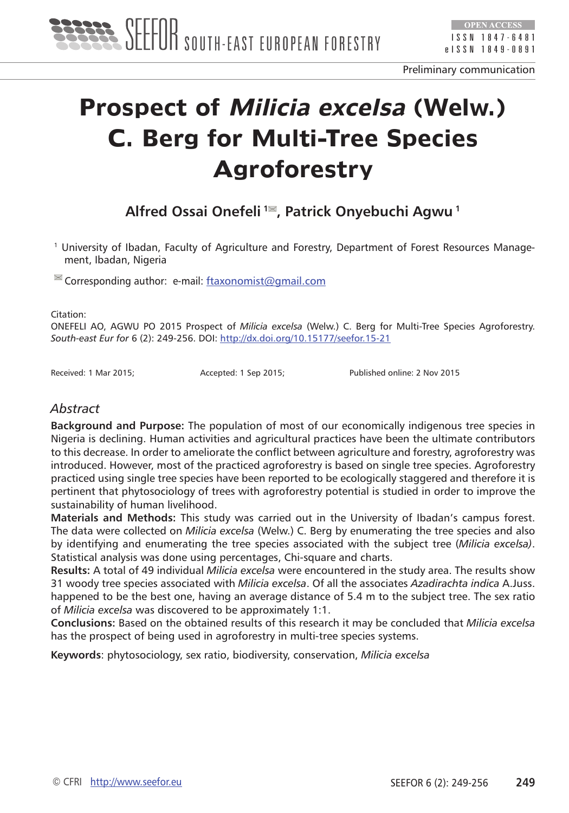

# **Prospect of Milicia excelsa (Welw.) C. Berg for Multi-Tree Species Agroforestry**

**Alfred Ossai Onefeli 1 , Patrick Onyebuchi Agwu 1**

1 University of Ibadan, Faculty of Agriculture and Forestry, Department of Forest Resources Management, Ibadan, Nigeria

 $\blacksquare$  Corresponding author: e-mail: [ftaxonomist@gmail.com](mailto:ftaxonomist@gmail.com)

Citation:

ONEFELI AO, AGWU PO 2015 Prospect of *Milicia excelsa* (Welw.) C. Berg for Multi-Tree Species Agroforestry. *South-east Eur for* 6 (2): 249-256. DOI:<http://dx.doi.org/10.15177/seefor.15-21>

Received: 1 Mar 2015; Accepted: 1 Sep 2015; Published online: 2 Nov 2015

#### *Abstract*

**Background and Purpose:** The population of most of our economically indigenous tree species in Nigeria is declining. Human activities and agricultural practices have been the ultimate contributors to this decrease. In order to ameliorate the conflict between agriculture and forestry, agroforestry was introduced. However, most of the practiced agroforestry is based on single tree species. Agroforestry practiced using single tree species have been reported to be ecologically staggered and therefore it is pertinent that phytosociology of trees with agroforestry potential is studied in order to improve the sustainability of human livelihood.

**Materials and Methods:** This study was carried out in the University of Ibadan's campus forest. The data were collected on *Milicia excelsa* (Welw.) C. Berg by enumerating the tree species and also by identifying and enumerating the tree species associated with the subject tree (*Milicia excelsa)*. Statistical analysis was done using percentages, Chi-square and charts.

**Results:** A total of 49 individual *Milicia excelsa* were encountered in the study area. The results show 31 woody tree species associated with *Milicia excelsa*. Of all the associates *Azadirachta indica* A.Juss. happened to be the best one, having an average distance of 5.4 m to the subject tree. The sex ratio of *Milicia excelsa* was discovered to be approximately 1:1.

**Conclusions:** Based on the obtained results of this research it may be concluded that *Milicia excelsa*  has the prospect of being used in agroforestry in multi-tree species systems.

**Keywords**: phytosociology, sex ratio, biodiversity, conservation, *Milicia excelsa*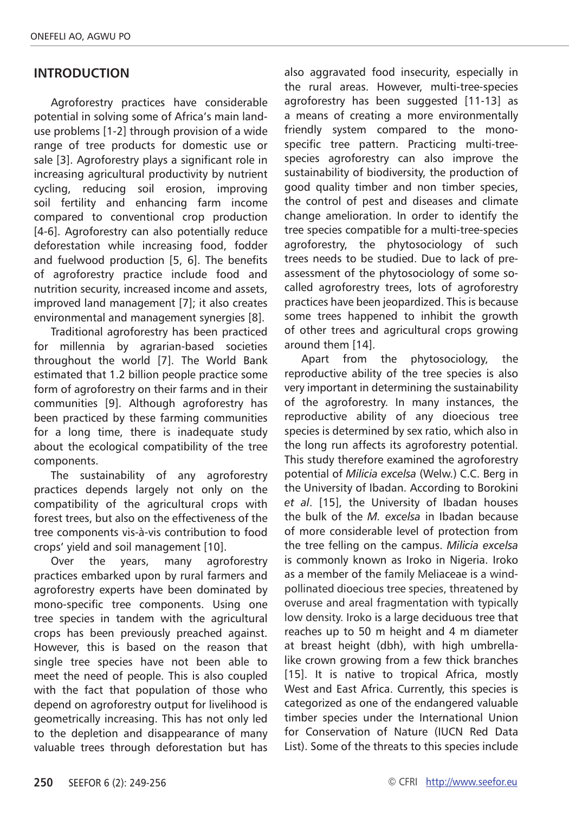# **INTRODUCTION**

Agroforestry practices have considerable potential in solving some of Africa's main landuse problems [1-2] through provision of a wide range of tree products for domestic use or sale [3]. Agroforestry plays a significant role in increasing agricultural productivity by nutrient cycling, reducing soil erosion, improving soil fertility and enhancing farm income compared to conventional crop production [4-6]. Agroforestry can also potentially reduce deforestation while increasing food, fodder and fuelwood production [5, 6]. The benefits of agroforestry practice include food and nutrition security, increased income and assets, improved land management [7]; it also creates environmental and management synergies [8].

Traditional agroforestry has been practiced for millennia by agrarian-based societies throughout the world [7]. The World Bank estimated that 1.2 billion people practice some form of agroforestry on their farms and in their communities [9]. Although agroforestry has been practiced by these farming communities for a long time, there is inadequate study about the ecological compatibility of the tree components.

The sustainability of any agroforestry practices depends largely not only on the compatibility of the agricultural crops with forest trees, but also on the effectiveness of the tree components vis-à-vis contribution to food crops' yield and soil management [10].

Over the years, many agroforestry practices embarked upon by rural farmers and agroforestry experts have been dominated by mono-specific tree components. Using one tree species in tandem with the agricultural crops has been previously preached against. However, this is based on the reason that single tree species have not been able to meet the need of people. This is also coupled with the fact that population of those who depend on agroforestry output for livelihood is geometrically increasing. This has not only led to the depletion and disappearance of many valuable trees through deforestation but has

also aggravated food insecurity, especially in the rural areas. However, multi-tree-species agroforestry has been suggested [11-13] as a means of creating a more environmentally friendly system compared to the monospecific tree pattern. Practicing multi-treespecies agroforestry can also improve the sustainability of biodiversity, the production of good quality timber and non timber species, the control of pest and diseases and climate change amelioration. In order to identify the tree species compatible for a multi-tree-species agroforestry, the phytosociology of such trees needs to be studied. Due to lack of preassessment of the phytosociology of some socalled agroforestry trees, lots of agroforestry practices have been jeopardized. This is because some trees happened to inhibit the growth of other trees and agricultural crops growing around them [14].

Apart from the phytosociology, the reproductive ability of the tree species is also very important in determining the sustainability of the agroforestry. In many instances, the reproductive ability of any dioecious tree species is determined by sex ratio, which also in the long run affects its agroforestry potential. This study therefore examined the agroforestry potential of *Milicia excelsa* (Welw.) C.C. Berg in the University of Ibadan. According to Borokini *et al*. [15], the University of Ibadan houses the bulk of the *M. excelsa* in Ibadan because of more considerable level of protection from the tree felling on the campus. *Milicia excelsa*  is commonly known as Iroko in Nigeria. Iroko as a member of the family Meliaceae is a windpollinated dioecious tree species, threatened by overuse and areal fragmentation with typically low density. Iroko is a large deciduous tree that reaches up to 50 m height and 4 m diameter at breast height (dbh), with high umbrellalike crown growing from a few thick branches [15]. It is native to tropical Africa, mostly West and East Africa. Currently, this species is categorized as one of the endangered valuable timber species under the International Union for Conservation of Nature (IUCN Red Data List). Some of the threats to this species include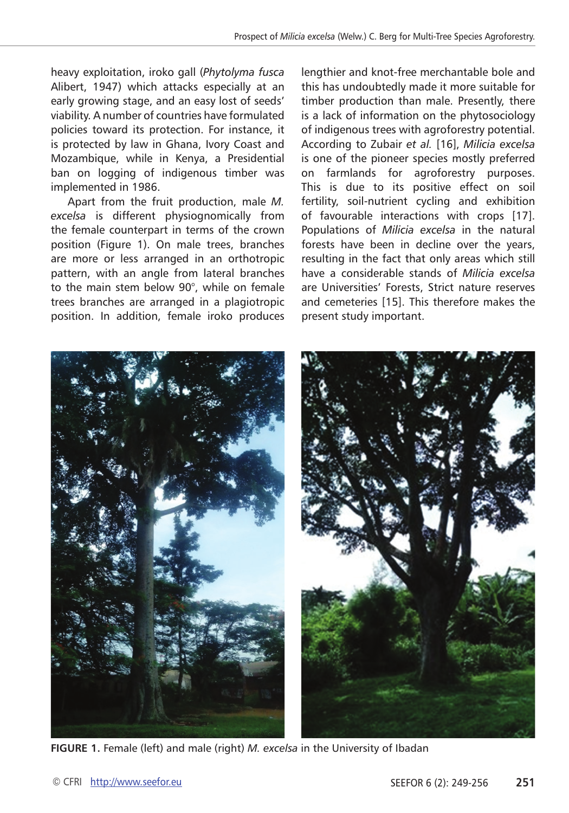heavy exploitation, iroko gall (*Phytolyma fusca*  Alibert, 1947) which attacks especially at an early growing stage, and an easy lost of seeds' viability. A number of countries have formulated policies toward its protection. For instance, it is protected by law in Ghana, Ivory Coast and Mozambique, while in Kenya, a Presidential ban on logging of indigenous timber was implemented in 1986.

Apart from the fruit production, male *M. excelsa* is different physiognomically from the female counterpart in terms of the crown position (Figure 1). On male trees, branches are more or less arranged in an orthotropic pattern, with an angle from lateral branches to the main stem below 90°, while on female trees branches are arranged in a plagiotropic position. In addition, female iroko produces

lengthier and knot-free merchantable bole and this has undoubtedly made it more suitable for timber production than male. Presently, there is a lack of information on the phytosociology of indigenous trees with agroforestry potential. According to Zubair *et al.* [16], *Milicia excelsa* is one of the pioneer species mostly preferred on farmlands for agroforestry purposes. This is due to its positive effect on soil fertility, soil-nutrient cycling and exhibition of favourable interactions with crops [17]. Populations of *Milicia excelsa* in the natural forests have been in decline over the years, resulting in the fact that only areas which still have a considerable stands of *Milicia excelsa*  are Universities' Forests, Strict nature reserves and cemeteries [15]. This therefore makes the present study important.



**FIGURE 1.** Female (left) and male (right) *M. excelsa* in the University of Ibadan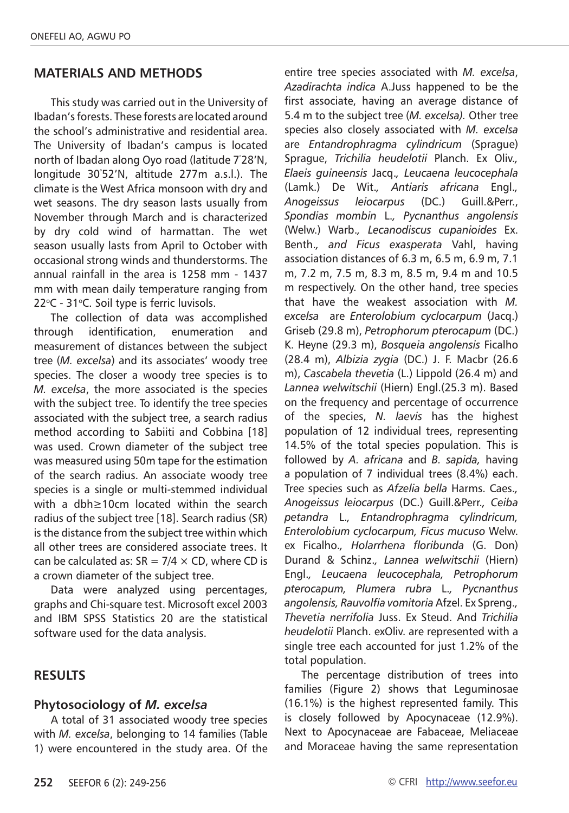### **MATERIALS AND METHODS**

This study was carried out in the University of Ibadan's forests. These forests are located around the school's administrative and residential area. The University of Ibadan's campus is located north of Ibadan along Oyo road (latitude 7° 28'N, longitude 30° 52'N, altitude 277m a.s.l.). The climate is the West Africa monsoon with dry and wet seasons. The dry season lasts usually from November through March and is characterized by dry cold wind of harmattan. The wet season usually lasts from April to October with occasional strong winds and thunderstorms. The annual rainfall in the area is 1258 mm - 1437 mm with mean daily temperature ranging from 22°C - 31°C. Soil type is ferric luvisols.

The collection of data was accomplished through identification, enumeration and measurement of distances between the subject tree (*M. excelsa*) and its associates' woody tree species. The closer a woody tree species is to *M. excelsa*, the more associated is the species with the subject tree. To identify the tree species associated with the subject tree, a search radius method according to Sabiiti and Cobbina [18] was used. Crown diameter of the subject tree was measured using 50m tape for the estimation of the search radius. An associate woody tree species is a single or multi-stemmed individual with a dbh≥10cm located within the search radius of the subject tree [18]. Search radius (SR) is the distance from the subject tree within which all other trees are considered associate trees. It can be calculated as:  $SR = 7/4 \times CD$ , where CD is a crown diameter of the subject tree.

Data were analyzed using percentages, graphs and Chi-square test. Microsoft excel 2003 and IBM SPSS Statistics 20 are the statistical software used for the data analysis.

#### **RESULTS**

#### **Phytosociology of** *M. excelsa*

A total of 31 associated woody tree species with *M. excelsa*, belonging to 14 families (Table 1) were encountered in the study area. Of the

entire tree species associated with *M. excelsa*, *Azadirachta indica* A.Juss happened to be the first associate, having an average distance of 5.4 m to the subject tree (*M. excelsa).* Other tree species also closely associated with *M. excelsa* are *Entandrophragma cylindricum* (Sprague) Sprague, *Trichilia heudelotii* Planch. Ex Oliv.*, Elaeis guineensis* Jacq.*, Leucaena leucocephala*  (Lamk.) De Wit.*, Antiaris africana* Engl.*, Anogeissus leiocarpus* (DC.) Guill.&Perr., *Spondias mombin* L.*, Pycnanthus angolensis*  (Welw.) Warb.*, Lecanodiscus cupanioides* Ex. Benth.*, and Ficus exasperata* Vahl, having association distances of 6.3 m, 6.5 m, 6.9 m, 7.1 m, 7.2 m, 7.5 m, 8.3 m, 8.5 m, 9.4 m and 10.5 m respectively. On the other hand, tree species that have the weakest association with *M. excelsa* are *Enterolobium cyclocarpum* (Jacq.) Griseb (29.8 m), *Petrophorum pterocapum* (DC.) K. Heyne (29.3 m), *Bosqueia angolensis* Ficalho (28.4 m), *Albizia zygia* (DC.) J. F. Macbr (26.6 m), *Cascabela thevetia* (L.) Lippold (26.4 m) and *Lannea welwitschii* (Hiern) Engl.(25.3 m). Based on the frequency and percentage of occurrence of the species, *N. laevis* has the highest population of 12 individual trees, representing 14.5% of the total species population. This is followed by *A. africana* and *B. sapida,* having a population of 7 individual trees (8.4%) each. Tree species such as *Afzelia bella* Harms. Caes.*, Anogeissus leiocarpus* (DC.) Guill.&Perr.*, Ceiba petandra* L.*, Entandrophragma cylindricum, Enterolobium cyclocarpum, Ficus mucuso* Welw. ex Ficalho.*, Holarrhena floribunda* (G. Don) Durand & Schinz.*, Lannea welwitschii* (Hiern) Engl.*, Leucaena leucocephala, Petrophorum pterocapum, Plumera rubra* L.*, Pycnanthus angolensis, Rauvolfia vomitoria* Afzel. Ex Spreng.*, Thevetia nerrifolia* Juss. Ex Steud. And *Trichilia heudelotii* Planch. exOliv. are represented with a single tree each accounted for just 1.2% of the total population.

The percentage distribution of trees into families (Figure 2) shows that Leguminosae (16.1%) is the highest represented family. This is closely followed by Apocynaceae (12.9%). Next to Apocynaceae are Fabaceae, Meliaceae and Moraceae having the same representation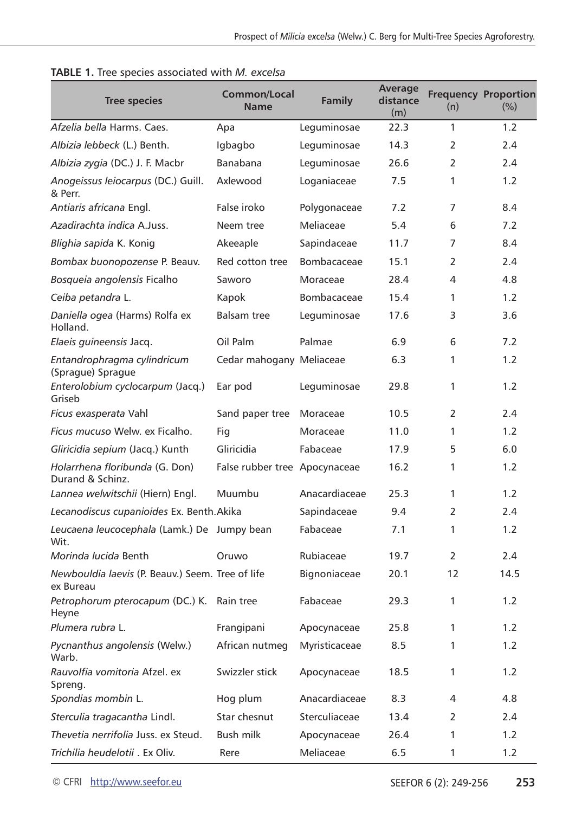| <b>Tree species</b>                                           | <b>Common/Local</b><br><b>Name</b> | Family        | Average<br>distance<br>(m) | (n)          | <b>Frequency Proportion</b><br>(%) |
|---------------------------------------------------------------|------------------------------------|---------------|----------------------------|--------------|------------------------------------|
| Afzelia bella Harms, Caes                                     | Apa                                | Leguminosae   | 22.3                       | $\mathbf{1}$ | 1.2                                |
| Albizia lebbeck (L.) Benth.                                   | Igbagbo                            | Leguminosae   | 14.3                       | 2            | 2.4                                |
| Albizia zygia (DC.) J. F. Macbr                               | Banabana                           | Leguminosae   | 26.6                       | 2            | 2.4                                |
| Anogeissus leiocarpus (DC.) Guill.<br>& Perr.                 | Axlewood                           | Loganiaceae   | 7.5                        | 1            | 1.2                                |
| Antiaris africana Engl.                                       | False iroko                        | Polygonaceae  | 7.2                        | 7            | 8.4                                |
| Azadirachta indica A.Juss.                                    | Neem tree                          | Meliaceae     | 5.4                        | 6            | 7.2                                |
| Blighia sapida K. Konig                                       | Akeeaple                           | Sapindaceae   | 11.7                       | 7            | 8.4                                |
| Bombax buonopozense P. Beauv.                                 | Red cotton tree                    | Bombacaceae   | 15.1                       | 2            | 2.4                                |
| Bosqueia angolensis Ficalho                                   | Saworo                             | Moraceae      | 28.4                       | 4            | 4.8                                |
| Ceiba petandra L.                                             | Kapok                              | Bombacaceae   | 15.4                       | $\mathbf{1}$ | 1.2                                |
| Daniella ogea (Harms) Rolfa ex<br>Holland.                    | <b>Balsam tree</b>                 | Leguminosae   | 17.6                       | 3            | 3.6                                |
| Elaeis guineensis Jacq.                                       | Oil Palm                           | Palmae        | 6.9                        | 6            | 7.2                                |
| Entandrophragma cylindricum<br>(Sprague) Sprague              | Cedar mahogany Meliaceae           |               | 6.3                        | 1            | 1.2                                |
| Enterolobium cyclocarpum (Jacq.)<br>Griseb                    | Ear pod                            | Leguminosae   | 29.8                       | 1            | 1.2                                |
| Ficus exasperata Vahl                                         | Sand paper tree                    | Moraceae      | 10.5                       | 2            | 2.4                                |
| <i>Ficus mucuso</i> Welw. ex Ficalho.                         | Fig                                | Moraceae      | 11.0                       | $\mathbf{1}$ | 1.2                                |
| Gliricidia sepium (Jacq.) Kunth                               | Gliricidia                         | Fabaceae      | 17.9                       | 5            | 6.0                                |
| Holarrhena floribunda (G. Don)<br>Durand & Schinz.            | False rubber tree Apocynaceae      |               | 16.2                       | 1            | 1.2                                |
| Lannea welwitschii (Hiern) Engl.                              | Muumbu                             | Anacardiaceae | 25.3                       | $\mathbf{1}$ | 1.2                                |
| Lecanodiscus cupanioides Ex. Benth. Akika                     |                                    | Sapindaceae   | 9.4                        | 2            | 2.4                                |
| Leucaena leucocephala (Lamk.) De Jumpy bean<br>Wit.           |                                    | Fabaceae      | 7.1                        | $\mathbf{1}$ | 1.2                                |
| Morinda lucida Benth                                          | Oruwo                              | Rubiaceae     | 19.7                       | 2            | 2.4                                |
| Newbouldia laevis (P. Beauv.) Seem. Tree of life<br>ex Bureau |                                    | Bignoniaceae  | 20.1                       | 12           | 14.5                               |
| Petrophorum pterocapum (DC.) K. Rain tree<br>Heyne            |                                    | Fabaceae      | 29.3                       | 1            | 1.2                                |
| Plumera rubra L.                                              | Frangipani                         | Apocynaceae   | 25.8                       | 1            | 1.2                                |
| Pycnanthus angolensis (Welw.)<br>Warb.                        | African nutmeg                     | Myristicaceae | 8.5                        | 1            | 1.2                                |
| Rauvolfia vomitoria Afzel. ex<br>Spreng.                      | Swizzler stick                     | Apocynaceae   | 18.5                       | 1            | 1.2                                |
| Spondias mombin L.                                            | Hog plum                           | Anacardiaceae | 8.3                        | 4            | 4.8                                |
| Sterculia tragacantha Lindl.                                  | Star chesnut                       | Sterculiaceae | 13.4                       | 2            | 2.4                                |
| Thevetia nerrifolia Juss, ex Steud.                           | Bush milk                          | Apocynaceae   | 26.4                       | 1            | 1.2                                |
| Trichilia heudelotii . Ex Oliv.                               | Rere                               | Meliaceae     | 6.5                        | 1            | 1.2                                |

|  |  |  | TABLE 1. Tree species associated with M. excelsa |  |  |
|--|--|--|--------------------------------------------------|--|--|
|--|--|--|--------------------------------------------------|--|--|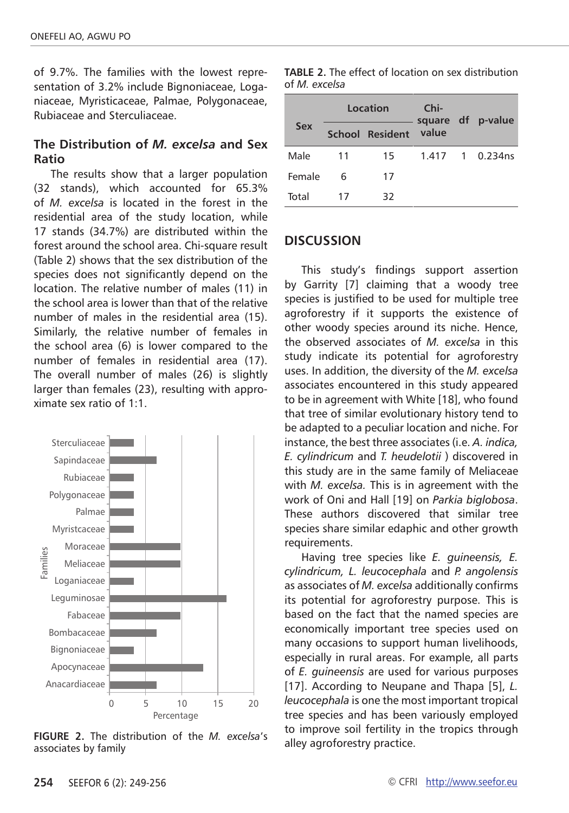of 9.7%. The families with the lowest representation of 3.2% include Bignoniaceae, Loganiaceae, Myristicaceae, Palmae, Polygonaceae, Rubiaceae and Sterculiaceae.

# **The Distribution of** *M. excelsa* **and Sex Ratio**

The results show that a larger population (32 stands), which accounted for 65.3% of *M. excelsa* is located in the forest in the residential area of the study location, while 17 stands (34.7%) are distributed within the forest around the school area. Chi-square result (Table 2) shows that the sex distribution of the species does not significantly depend on the location. The relative number of males (11) in the school area is lower than that of the relative number of males in the residential area (15). Similarly, the relative number of females in the school area (6) is lower compared to the number of females in residential area (17). The overall number of males (26) is slightly larger than females (23), resulting with approximate sex ratio of 1:1.



**FIGURE 2.** The distribution of the *M. excelsa*'s associates by family

|            |    | Location        | Chi-  | square df p-value |  |
|------------|----|-----------------|-------|-------------------|--|
| <b>Sex</b> |    | School Resident | value |                   |  |
| Male       | 11 | 15              |       | 1.417 1 0.234ns   |  |
| Female     | 6  | 17              |       |                   |  |
| Total      | 17 | 32              |       |                   |  |

#### **TABLE 2.** The effect of location on sex distribution of *M. excelsa*

#### **DISCUSSION**

This study's findings support assertion by Garrity [7] claiming that a woody tree species is justified to be used for multiple tree agroforestry if it supports the existence of other woody species around its niche. Hence, the observed associates of *M. excelsa* in this study indicate its potential for agroforestry uses. In addition, the diversity of the *M. excelsa*  associates encountered in this study appeared to be in agreement with White [18], who found that tree of similar evolutionary history tend to be adapted to a peculiar location and niche. For instance, the best three associates (i.e. *A. indica, E. cylindricum* and *T. heudelotii* ) discovered in this study are in the same family of Meliaceae with *M. excelsa.* This is in agreement with the work of Oni and Hall [19] on *Parkia biglobosa*. These authors discovered that similar tree species share similar edaphic and other growth requirements.

Having tree species like *E. guineensis, E. cylindricum, L. leucocephala* and *P. angolensis*  as associates of *M. excelsa* additionally confirms its potential for agroforestry purpose. This is based on the fact that the named species are economically important tree species used on many occasions to support human livelihoods, especially in rural areas. For example, all parts of *E. guineensis* are used for various purposes [17]. According to Neupane and Thapa [5], *L. leucocephala* is one the most important tropical tree species and has been variously employed to improve soil fertility in the tropics through alley agroforestry practice.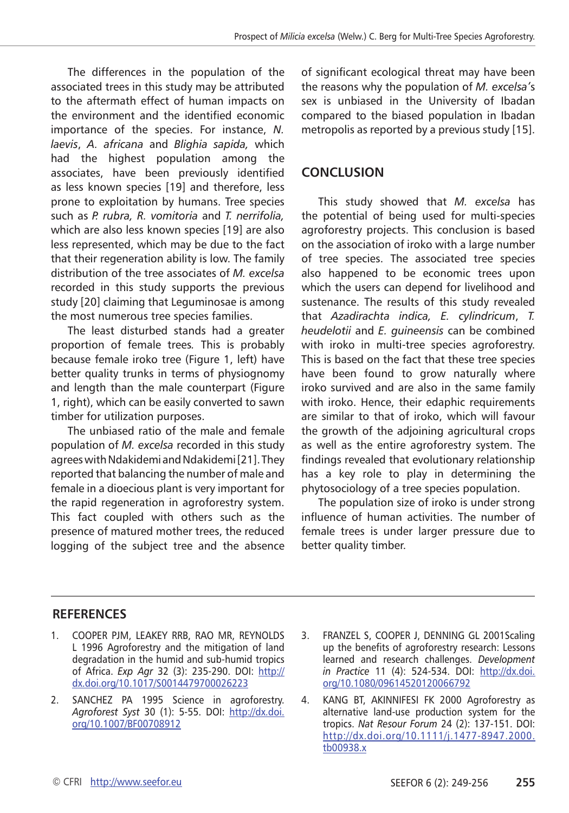The differences in the population of the associated trees in this study may be attributed to the aftermath effect of human impacts on the environment and the identified economic importance of the species. For instance, *N. laevis*, *A. africana* and *Blighia sapida,* which had the highest population among the associates, have been previously identified as less known species [19] and therefore, less prone to exploitation by humans. Tree species such as *P. rubra, R. vomitoria* and *T. nerrifolia,*  which are also less known species [19] are also less represented, which may be due to the fact that their regeneration ability is low. The family distribution of the tree associates of *M. excelsa*  recorded in this study supports the previous study [20] claiming that Leguminosae is among the most numerous tree species families.

The least disturbed stands had a greater proportion of female trees*.* This is probably because female iroko tree (Figure 1, left) have better quality trunks in terms of physiognomy and length than the male counterpart (Figure 1, right), which can be easily converted to sawn timber for utilization purposes.

The unbiased ratio of the male and female population of *M. excelsa* recorded in this study agrees with Ndakidemi and Ndakidemi [21]. They reported that balancing the number of male and female in a dioecious plant is very important for the rapid regeneration in agroforestry system. This fact coupled with others such as the presence of matured mother trees, the reduced logging of the subject tree and the absence

of significant ecological threat may have been the reasons why the population of *M. excelsa'*s sex is unbiased in the University of Ibadan compared to the biased population in Ibadan metropolis as reported by a previous study [15].

# **CONCLUSION**

This study showed that *M. excelsa* has the potential of being used for multi-species agroforestry projects. This conclusion is based on the association of iroko with a large number of tree species. The associated tree species also happened to be economic trees upon which the users can depend for livelihood and sustenance. The results of this study revealed that *Azadirachta indica, E. cylindricum*, *T. heudelotii* and *E. guineensis* can be combined with iroko in multi-tree species agroforestry. This is based on the fact that these tree species have been found to grow naturally where iroko survived and are also in the same family with iroko. Hence, their edaphic requirements are similar to that of iroko, which will favour the growth of the adjoining agricultural crops as well as the entire agroforestry system. The findings revealed that evolutionary relationship has a key role to play in determining the phytosociology of a tree species population.

The population size of iroko is under strong influence of human activities. The number of female trees is under larger pressure due to better quality timber.

# **REFERENCES**

- 1. COOPER PJM, LEAKEY RRB, RAO MR, REYNOLDS L 1996 Agroforestry and the mitigation of land degradation in the humid and sub-humid tropics of Africa. *Exp Agr* 32 (3): 235-290. DOI: [http://](http://dx.doi.org/10.1017/S0014479700026223) [dx.doi.org/10.1017/S0014479700026223](http://dx.doi.org/10.1017/S0014479700026223)
- 2. SANCHEZ PA 1995 Science in agroforestry. *Agroforest Syst* 30 (1): 5-55. DOI: [http://dx.doi.](http://dx.doi.org/10.1007/BF00708912) [org/10.1007/BF00708912](http://dx.doi.org/10.1007/BF00708912)
- 3. FRANZEL S, COOPER J, DENNING GL 2001Scaling up the benefits of agroforestry research: Lessons learned and research challenges. *Development in Practice* 11 (4): 524-534. DOI: [http://dx.doi.](http://dx.doi.org/10.1080/09614520120066792) [org/10.1080/09614520120066792](http://dx.doi.org/10.1080/09614520120066792)

4. KANG BT, AKINNIFESI FK 2000 Agroforestry as alternative land-use production system for the tropics. *Nat Resour Forum* 24 (2): 137-151. DOI: [http://dx.doi.org/10.1111/j.1477-8947.2000.](http://dx.doi.org/10.1111/j.1477-8947.2000.tb00938.x) [tb00938.x](http://dx.doi.org/10.1111/j.1477-8947.2000.tb00938.x)